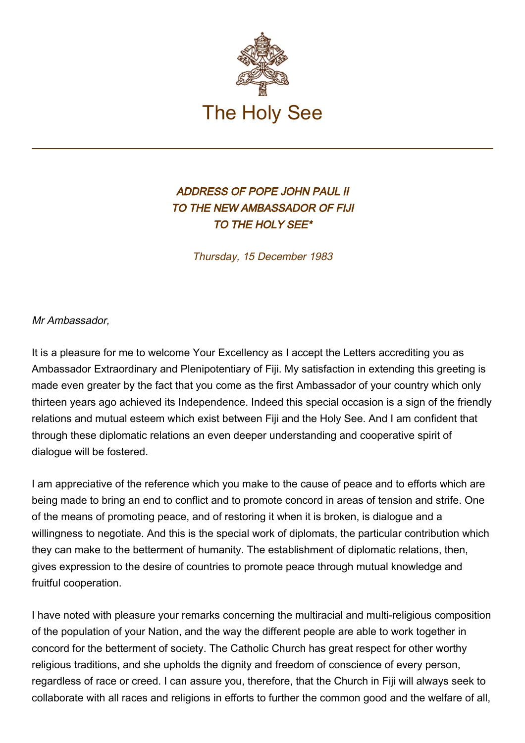

## ADDRESS OF POPE JOHN PAUL II TO THE NEW AMBASSADOR OF FIJI TO THE HOLY SEE\*

Thursday, 15 December 1983

Mr Ambassador,

It is a pleasure for me to welcome Your Excellency as I accept the Letters accrediting you as Ambassador Extraordinary and Plenipotentiary of Fiji. My satisfaction in extending this greeting is made even greater by the fact that you come as the first Ambassador of your country which only thirteen years ago achieved its Independence. Indeed this special occasion is a sign of the friendly relations and mutual esteem which exist between Fiji and the Holy See. And I am confident that through these diplomatic relations an even deeper understanding and cooperative spirit of dialogue will be fostered.

I am appreciative of the reference which you make to the cause of peace and to efforts which are being made to bring an end to conflict and to promote concord in areas of tension and strife. One of the means of promoting peace, and of restoring it when it is broken, is dialogue and a willingness to negotiate. And this is the special work of diplomats, the particular contribution which they can make to the betterment of humanity. The establishment of diplomatic relations, then, gives expression to the desire of countries to promote peace through mutual knowledge and fruitful cooperation.

I have noted with pleasure your remarks concerning the multiracial and multi-religious composition of the population of your Nation, and the way the different people are able to work together in concord for the betterment of society. The Catholic Church has great respect for other worthy religious traditions, and she upholds the dignity and freedom of conscience of every person, regardless of race or creed. I can assure you, therefore, that the Church in Fiji will always seek to collaborate with all races and religions in efforts to further the common good and the welfare of all,